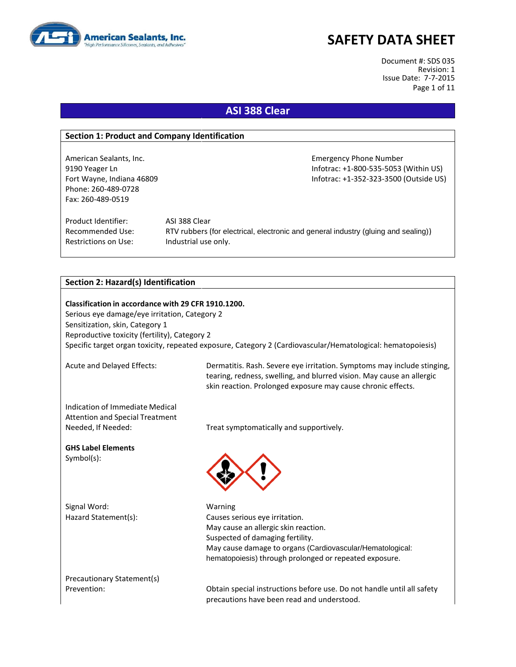

Document #: SDS 035 Revision: 1 Issue Date: 7-7-2015 Page 1 of 11

### **ASI 388 Clear**

### **Section 1: Product and Company Identification**

American Sealants, Inc. **Emergency Phone Number** Emergency Phone Number Phone: 260-489-0728 Fax: 260-489-0519

9190 Yeager Ln Infotrac: +1-800-535-5053 (Within US) Fort Wayne, Indiana 46809 **Information Controller Server Act 2018** Infotrac: +1-352-323-3500 (Outside US)

Product Identifier: ASI 388 Clear Restrictions on Use: Industrial use only.

Recommended Use: RTV rubbers (for electrical, electronic and general industry (gluing and sealing))

### **Section 2: Hazard(s) Identification**

**Classification in accordance with 29 CFR 1910.1200.** Serious eye damage/eye irritation, Category 2 Sensitization, skin, Category 1 Reproductive toxicity (fertility), Category 2 Specific target organ toxicity, repeated exposure, Category 2 (Cardiovascular/Hematological: hematopoiesis)

Acute and Delayed Effects: Dermatitis. Rash. Severe eye irritation. Symptoms may include stinging, tearing, redness, swelling, and blurred vision. May cause an allergic skin reaction. Prolonged exposure may cause chronic effects.

Indication of Immediate Medical Attention and Special Treatment Needed, If Needed: Treat symptomatically and supportively.

**GHS Label Elements** Symbol(s):

Signal Word: Warning



Hazard Statement(s): Causes serious eye irritation. May cause an allergic skin reaction. Suspected of damaging fertility. May cause damage to organs (Cardiovascular/Hematological: hematopoiesis) through prolonged or repeated exposure.

Precautionary Statement(s)

Prevention: Obtain special instructions before use. Do not handle until all safety precautions have been read and understood.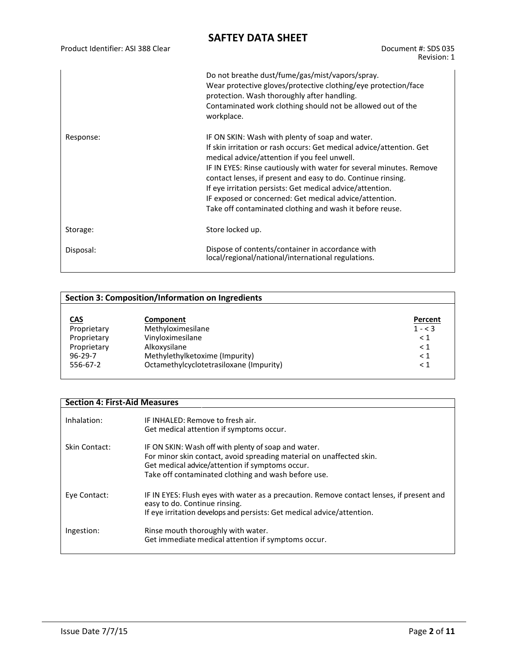Product Identifier: ASI 388 Clear Document #: SDS 035

Revision: 1

|           | Do not breathe dust/fume/gas/mist/vapors/spray.<br>Wear protective gloves/protective clothing/eye protection/face<br>protection. Wash thoroughly after handling.<br>Contaminated work clothing should not be allowed out of the<br>workplace.                                                                                                                                                                                                                                                     |
|-----------|---------------------------------------------------------------------------------------------------------------------------------------------------------------------------------------------------------------------------------------------------------------------------------------------------------------------------------------------------------------------------------------------------------------------------------------------------------------------------------------------------|
| Response: | IF ON SKIN: Wash with plenty of soap and water.<br>If skin irritation or rash occurs: Get medical advice/attention. Get<br>medical advice/attention if you feel unwell.<br>IF IN EYES: Rinse cautiously with water for several minutes. Remove<br>contact lenses, if present and easy to do. Continue rinsing.<br>If eye irritation persists: Get medical advice/attention.<br>IF exposed or concerned: Get medical advice/attention.<br>Take off contaminated clothing and wash it before reuse. |
| Storage:  | Store locked up.                                                                                                                                                                                                                                                                                                                                                                                                                                                                                  |
| Disposal: | Dispose of contents/container in accordance with<br>local/regional/national/international regulations.                                                                                                                                                                                                                                                                                                                                                                                            |

|               | <b>Section 3: Composition/Information on Ingredients</b> |           |  |  |
|---------------|----------------------------------------------------------|-----------|--|--|
|               |                                                          |           |  |  |
| <u>CAS</u>    | Component                                                | Percent   |  |  |
| Proprietary   | Methyloximesilane                                        | $1 - < 3$ |  |  |
| Proprietary   | Vinyloximesilane                                         | $\leq 1$  |  |  |
| Proprietary   | Alkoxysilane                                             | $\leq 1$  |  |  |
| $96 - 29 - 7$ | Methylethylketoxime (Impurity)                           | $\leq 1$  |  |  |
| 556-67-2      | Octamethylcyclotetrasiloxane (Impurity)                  | $\leq 1$  |  |  |
|               |                                                          |           |  |  |

| <b>Section 4: First-Aid Measures</b> |                                                                                                                                                                                                     |  |
|--------------------------------------|-----------------------------------------------------------------------------------------------------------------------------------------------------------------------------------------------------|--|
| Inhalation:                          | IF INHALED: Remove to fresh air.<br>Get medical attention if symptoms occur.                                                                                                                        |  |
| Skin Contact:                        | IF ON SKIN: Wash off with plenty of soap and water.<br>For minor skin contact, avoid spreading material on unaffected skin.                                                                         |  |
|                                      | Get medical advice/attention if symptoms occur.<br>Take off contaminated clothing and wash before use.                                                                                              |  |
| Eye Contact:                         | IF IN EYES: Flush eyes with water as a precaution. Remove contact lenses, if present and<br>easy to do. Continue rinsing.<br>If eye irritation develops and persists: Get medical advice/attention. |  |
| Ingestion:                           | Rinse mouth thoroughly with water.<br>Get immediate medical attention if symptoms occur.                                                                                                            |  |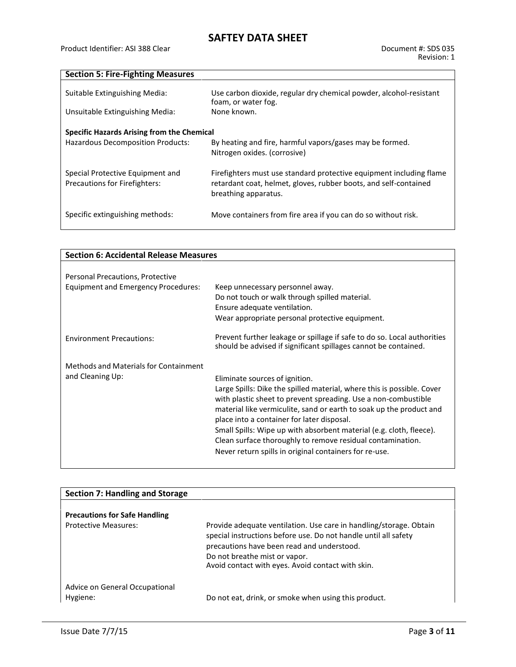| <b>Section 5: Fire-Fighting Measures</b>                                        |                                                                                                                                                                 |
|---------------------------------------------------------------------------------|-----------------------------------------------------------------------------------------------------------------------------------------------------------------|
| Suitable Extinguishing Media:<br>Unsuitable Extinguishing Media:                | Use carbon dioxide, regular dry chemical powder, alcohol-resistant<br>foam, or water fog.<br>None known.                                                        |
| Specific Hazards Arising from the Chemical<br>Hazardous Decomposition Products: | By heating and fire, harmful vapors/gases may be formed.<br>Nitrogen oxides. (corrosive)                                                                        |
| Special Protective Equipment and<br>Precautions for Firefighters:               | Firefighters must use standard protective equipment including flame<br>retardant coat, helmet, gloves, rubber boots, and self-contained<br>breathing apparatus. |
| Specific extinguishing methods:                                                 | Move containers from fire area if you can do so without risk.                                                                                                   |

| <b>Section 6: Accidental Release Measures</b>             |                                                                                                                                                                                                                                                                                                                                                                                                                                                                                                |  |
|-----------------------------------------------------------|------------------------------------------------------------------------------------------------------------------------------------------------------------------------------------------------------------------------------------------------------------------------------------------------------------------------------------------------------------------------------------------------------------------------------------------------------------------------------------------------|--|
|                                                           |                                                                                                                                                                                                                                                                                                                                                                                                                                                                                                |  |
| Personal Precautions, Protective                          |                                                                                                                                                                                                                                                                                                                                                                                                                                                                                                |  |
| <b>Equipment and Emergency Procedures:</b>                | Keep unnecessary personnel away.<br>Do not touch or walk through spilled material.<br>Ensure adequate ventilation.<br>Wear appropriate personal protective equipment.                                                                                                                                                                                                                                                                                                                          |  |
| <b>Environment Precautions:</b>                           | Prevent further leakage or spillage if safe to do so. Local authorities<br>should be advised if significant spillages cannot be contained.                                                                                                                                                                                                                                                                                                                                                     |  |
| Methods and Materials for Containment<br>and Cleaning Up: | Eliminate sources of ignition.<br>Large Spills: Dike the spilled material, where this is possible. Cover<br>with plastic sheet to prevent spreading. Use a non-combustible<br>material like vermiculite, sand or earth to soak up the product and<br>place into a container for later disposal.<br>Small Spills: Wipe up with absorbent material (e.g. cloth, fleece).<br>Clean surface thoroughly to remove residual contamination.<br>Never return spills in original containers for re-use. |  |

| <b>Section 7: Handling and Storage</b>     |                                                                                                                                                                                                                                                                           |
|--------------------------------------------|---------------------------------------------------------------------------------------------------------------------------------------------------------------------------------------------------------------------------------------------------------------------------|
|                                            |                                                                                                                                                                                                                                                                           |
| <b>Precautions for Safe Handling</b>       |                                                                                                                                                                                                                                                                           |
| <b>Protective Measures:</b>                | Provide adequate ventilation. Use care in handling/storage. Obtain<br>special instructions before use. Do not handle until all safety<br>precautions have been read and understood.<br>Do not breathe mist or vapor.<br>Avoid contact with eyes. Avoid contact with skin. |
| Advice on General Occupational<br>Hygiene: | Do not eat, drink, or smoke when using this product.                                                                                                                                                                                                                      |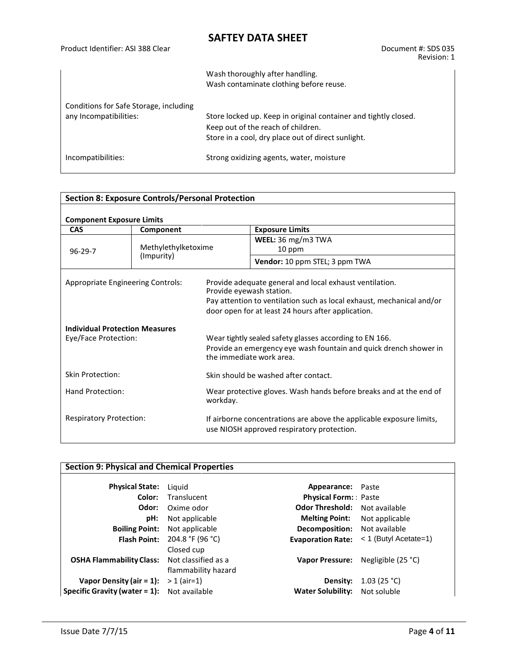|                                                                  | Wash thoroughly after handling.<br>Wash contaminate clothing before reuse.                                                                                  |  |
|------------------------------------------------------------------|-------------------------------------------------------------------------------------------------------------------------------------------------------------|--|
| Conditions for Safe Storage, including<br>any Incompatibilities: | Store locked up. Keep in original container and tightly closed.<br>Keep out of the reach of children.<br>Store in a cool, dry place out of direct sunlight. |  |
| Incompatibilities:                                               | Strong oxidizing agents, water, moisture                                                                                                                    |  |

| <b>Section 8: Exposure Controls/Personal Protection</b>                       |                     |                                                                                                                                                                                                                    |                                                                                                                              |  |
|-------------------------------------------------------------------------------|---------------------|--------------------------------------------------------------------------------------------------------------------------------------------------------------------------------------------------------------------|------------------------------------------------------------------------------------------------------------------------------|--|
| <b>Component Exposure Limits</b>                                              |                     |                                                                                                                                                                                                                    |                                                                                                                              |  |
| <b>CAS</b>                                                                    | Component           |                                                                                                                                                                                                                    | <b>Exposure Limits</b>                                                                                                       |  |
| $96 - 29 - 7$                                                                 | Methylethylketoxime |                                                                                                                                                                                                                    | WEEL: $36 \text{ mg/m}$ 3 TWA<br>10 ppm                                                                                      |  |
|                                                                               | (Impurity)          |                                                                                                                                                                                                                    | Vendor: 10 ppm STEL; 3 ppm TWA                                                                                               |  |
| Appropriate Engineering Controls:                                             |                     | Provide adequate general and local exhaust ventilation.<br>Provide eyewash station.<br>Pay attention to ventilation such as local exhaust, mechanical and/or<br>door open for at least 24 hours after application. |                                                                                                                              |  |
| <b>Individual Protection Measures</b><br>Eye/Face Protection:                 |                     | the immediate work area.                                                                                                                                                                                           | Wear tightly sealed safety glasses according to EN 166.<br>Provide an emergency eye wash fountain and quick drench shower in |  |
| <b>Skin Protection:</b><br>Hand Protection:<br><b>Respiratory Protection:</b> |                     | Skin should be washed after contact.                                                                                                                                                                               |                                                                                                                              |  |
|                                                                               |                     | Wear protective gloves. Wash hands before breaks and at the end of<br>workday.                                                                                                                                     |                                                                                                                              |  |
|                                                                               |                     | If airborne concentrations are above the applicable exposure limits,<br>use NIOSH approved respiratory protection.                                                                                                 |                                                                                                                              |  |

| <b>Section 9: Physical and Chemical Properties</b> |                     |                                      |                                    |
|----------------------------------------------------|---------------------|--------------------------------------|------------------------------------|
|                                                    |                     |                                      |                                    |
| <b>Physical State:</b>                             | Liguid              | <b>Appearance:</b> Paste             |                                    |
| Color:                                             | Translucent         | <b>Physical Form:</b> Paste          |                                    |
| Odor:                                              | Oxime odor          | <b>Odor Threshold:</b> Not available |                                    |
| pH:                                                | Not applicable      | <b>Melting Point:</b> Not applicable |                                    |
| <b>Boiling Point:</b>                              | Not applicable      | Decomposition: Not available         |                                    |
| <b>Flash Point:</b>                                | 204.8 °F (96 °C)    | <b>Evaporation Rate:</b>             | $<$ 1 (Butyl Acetate=1)            |
|                                                    | Closed cup          |                                      |                                    |
| <b>OSHA Flammability Class:</b>                    | Not classified as a |                                      | Vapor Pressure: Negligible (25 °C) |
|                                                    | flammability hazard |                                      |                                    |
| Vapor Density (air = 1): $>$ 1 (air=1)             |                     | Density:                             | 1.03(25 °C)                        |
| <b>Specific Gravity (water = 1):</b> Not available |                     | Water Solubility: Not soluble        |                                    |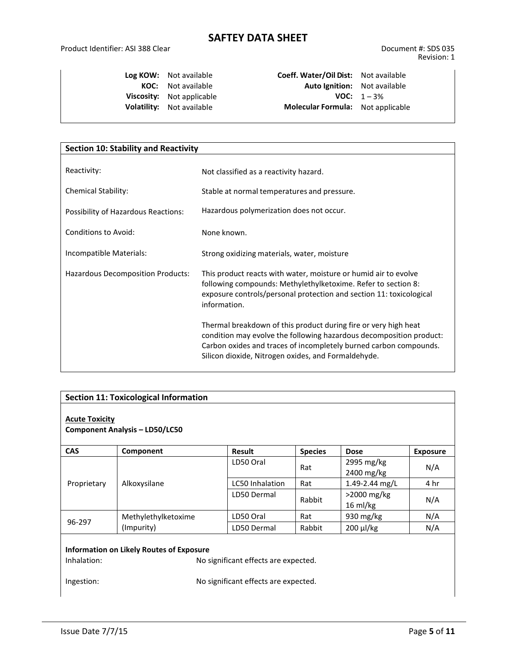**Log KOW:** Not available **Coeff. Water/Oil Dist:** Not available **Auto Ignition:** Not available **Viscosity:** Not applicable **VOC:**  $1-3\%$ **Volatility:** Not available **Molecular Formula:** Not applicable

| <b>Section 10: Stability and Reactivity</b> |                                                                                                                                                                                                                                                                    |
|---------------------------------------------|--------------------------------------------------------------------------------------------------------------------------------------------------------------------------------------------------------------------------------------------------------------------|
|                                             |                                                                                                                                                                                                                                                                    |
| Reactivity:                                 | Not classified as a reactivity hazard.                                                                                                                                                                                                                             |
| <b>Chemical Stability:</b>                  | Stable at normal temperatures and pressure.                                                                                                                                                                                                                        |
| Possibility of Hazardous Reactions:         | Hazardous polymerization does not occur.                                                                                                                                                                                                                           |
| Conditions to Avoid:                        | None known.                                                                                                                                                                                                                                                        |
| Incompatible Materials:                     | Strong oxidizing materials, water, moisture                                                                                                                                                                                                                        |
| Hazardous Decomposition Products:           | This product reacts with water, moisture or humid air to evolve<br>following compounds: Methylethylketoxime. Refer to section 8:<br>exposure controls/personal protection and section 11: toxicological<br>information.                                            |
|                                             | Thermal breakdown of this product during fire or very high heat<br>condition may evolve the following hazardous decomposition product:<br>Carbon oxides and traces of incompletely burned carbon compounds.<br>Silicon dioxide, Nitrogen oxides, and Formaldehyde. |

| <b>Acute Toxicity</b>                                                                                                                                 |                                       |                        |                |                                      |                 |
|-------------------------------------------------------------------------------------------------------------------------------------------------------|---------------------------------------|------------------------|----------------|--------------------------------------|-----------------|
|                                                                                                                                                       | <b>Component Analysis - LD50/LC50</b> |                        |                |                                      |                 |
| <b>CAS</b>                                                                                                                                            | Component                             | <b>Result</b>          | <b>Species</b> | <b>Dose</b>                          | <b>Exposure</b> |
| Proprietary                                                                                                                                           |                                       | LD50 Oral              | Rat            | 2995 mg/kg<br>2400 mg/kg             | N/A             |
|                                                                                                                                                       | Alkoxysilane                          | <b>LC50 Inhalation</b> | Rat            | 1.49-2.44 mg/L                       | 4 hr            |
|                                                                                                                                                       |                                       | LD50 Dermal            | Rabbit         | $>$ 2000 mg/kg<br>$16 \text{ ml/kg}$ | N/A             |
| 96-297                                                                                                                                                | Methylethylketoxime<br>(Impurity)     | LD50 Oral              | Rat            | 930 mg/kg                            | N/A             |
|                                                                                                                                                       |                                       | LD50 Dermal            | Rabbit         | 200 µl/kg                            | N/A             |
| Information on Likely Routes of Exposure<br>Inhalation:<br>No significant effects are expected.<br>Ingestion:<br>No significant effects are expected. |                                       |                        |                |                                      |                 |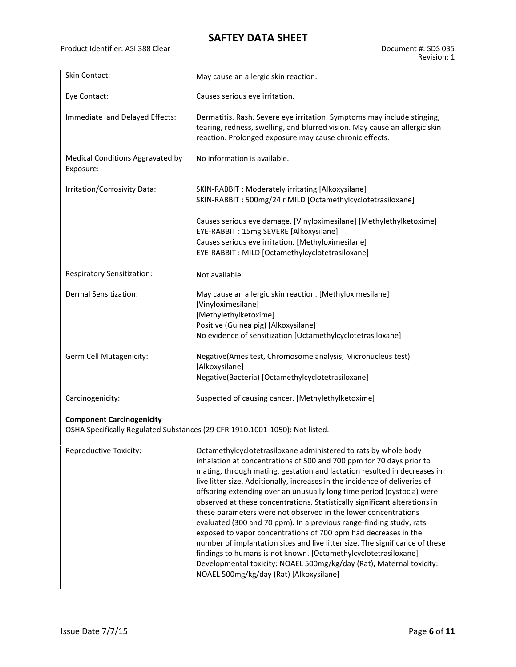Product Identifier: ASI 388 Clear Document #: SDS 035

| Skin Contact:                                 | May cause an allergic skin reaction.                                                                                                                                                                                                                                                                                                                                                                                                                                                                                                                                                                                                                                                                                                                                                                                                                                                                                                         |
|-----------------------------------------------|----------------------------------------------------------------------------------------------------------------------------------------------------------------------------------------------------------------------------------------------------------------------------------------------------------------------------------------------------------------------------------------------------------------------------------------------------------------------------------------------------------------------------------------------------------------------------------------------------------------------------------------------------------------------------------------------------------------------------------------------------------------------------------------------------------------------------------------------------------------------------------------------------------------------------------------------|
| Eye Contact:                                  | Causes serious eye irritation.                                                                                                                                                                                                                                                                                                                                                                                                                                                                                                                                                                                                                                                                                                                                                                                                                                                                                                               |
| Immediate and Delayed Effects:                | Dermatitis. Rash. Severe eye irritation. Symptoms may include stinging,<br>tearing, redness, swelling, and blurred vision. May cause an allergic skin<br>reaction. Prolonged exposure may cause chronic effects.                                                                                                                                                                                                                                                                                                                                                                                                                                                                                                                                                                                                                                                                                                                             |
| Medical Conditions Aggravated by<br>Exposure: | No information is available.                                                                                                                                                                                                                                                                                                                                                                                                                                                                                                                                                                                                                                                                                                                                                                                                                                                                                                                 |
| Irritation/Corrosivity Data:                  | SKIN-RABBIT: Moderately irritating [Alkoxysilane]<br>SKIN-RABBIT: 500mg/24 r MILD [Octamethylcyclotetrasiloxane]                                                                                                                                                                                                                                                                                                                                                                                                                                                                                                                                                                                                                                                                                                                                                                                                                             |
|                                               | Causes serious eye damage. [Vinyloximesilane] [Methylethylketoxime]<br>EYE-RABBIT: 15mg SEVERE [Alkoxysilane]<br>Causes serious eye irritation. [Methyloximesilane]<br>EYE-RABBIT : MILD [Octamethylcyclotetrasiloxane]                                                                                                                                                                                                                                                                                                                                                                                                                                                                                                                                                                                                                                                                                                                      |
| Respiratory Sensitization:                    | Not available.                                                                                                                                                                                                                                                                                                                                                                                                                                                                                                                                                                                                                                                                                                                                                                                                                                                                                                                               |
| Dermal Sensitization:                         | May cause an allergic skin reaction. [Methyloximesilane]<br>[Vinyloximesilane]<br>[Methylethylketoxime]<br>Positive (Guinea pig) [Alkoxysilane]<br>No evidence of sensitization [Octamethylcyclotetrasiloxane]                                                                                                                                                                                                                                                                                                                                                                                                                                                                                                                                                                                                                                                                                                                               |
| Germ Cell Mutagenicity:                       | Negative(Ames test, Chromosome analysis, Micronucleus test)<br>[Alkoxysilane]<br>Negative(Bacteria) [Octamethylcyclotetrasiloxane]                                                                                                                                                                                                                                                                                                                                                                                                                                                                                                                                                                                                                                                                                                                                                                                                           |
| Carcinogenicity:                              | Suspected of causing cancer. [Methylethylketoxime]                                                                                                                                                                                                                                                                                                                                                                                                                                                                                                                                                                                                                                                                                                                                                                                                                                                                                           |
| <b>Component Carcinogenicity</b>              | OSHA Specifically Regulated Substances (29 CFR 1910.1001-1050): Not listed.                                                                                                                                                                                                                                                                                                                                                                                                                                                                                                                                                                                                                                                                                                                                                                                                                                                                  |
| Reproductive Toxicity:                        | Octamethylcyclotetrasiloxane administered to rats by whole body<br>inhalation at concentrations of 500 and 700 ppm for 70 days prior to<br>mating, through mating, gestation and lactation resulted in decreases in<br>live litter size. Additionally, increases in the incidence of deliveries of<br>offspring extending over an unusually long time period (dystocia) were<br>observed at these concentrations. Statistically significant alterations in<br>these parameters were not observed in the lower concentrations<br>evaluated (300 and 70 ppm). In a previous range-finding study, rats<br>exposed to vapor concentrations of 700 ppm had decreases in the<br>number of implantation sites and live litter size. The significance of these<br>findings to humans is not known. [Octamethylcyclotetrasiloxane]<br>Developmental toxicity: NOAEL 500mg/kg/day (Rat), Maternal toxicity:<br>NOAEL 500mg/kg/day (Rat) [Alkoxysilane] |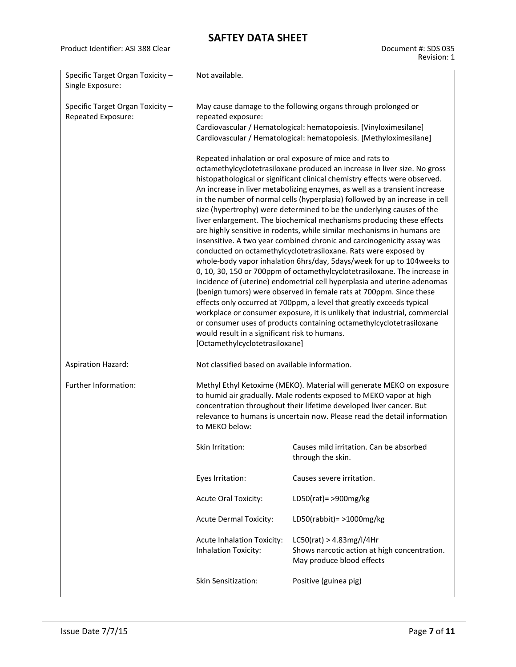| Product Identifier: ASI 388 Clear                      |                                                                                                                                                                                                                                                                                                                                                                                                                                                                                                                                                                                                                                                                                                                                                                                                                                                                                                                                                                                                                                                                                                                                                                                                                                                                                                                                                                                         | Document #: SDS 035<br>Revision: 1                                                                    |  |  |  |
|--------------------------------------------------------|-----------------------------------------------------------------------------------------------------------------------------------------------------------------------------------------------------------------------------------------------------------------------------------------------------------------------------------------------------------------------------------------------------------------------------------------------------------------------------------------------------------------------------------------------------------------------------------------------------------------------------------------------------------------------------------------------------------------------------------------------------------------------------------------------------------------------------------------------------------------------------------------------------------------------------------------------------------------------------------------------------------------------------------------------------------------------------------------------------------------------------------------------------------------------------------------------------------------------------------------------------------------------------------------------------------------------------------------------------------------------------------------|-------------------------------------------------------------------------------------------------------|--|--|--|
| Specific Target Organ Toxicity -<br>Single Exposure:   | Not available.                                                                                                                                                                                                                                                                                                                                                                                                                                                                                                                                                                                                                                                                                                                                                                                                                                                                                                                                                                                                                                                                                                                                                                                                                                                                                                                                                                          |                                                                                                       |  |  |  |
| Specific Target Organ Toxicity -<br>Repeated Exposure: | May cause damage to the following organs through prolonged or<br>repeated exposure:<br>Cardiovascular / Hematological: hematopoiesis. [Vinyloximesilane]<br>Cardiovascular / Hematological: hematopoiesis. [Methyloximesilane]                                                                                                                                                                                                                                                                                                                                                                                                                                                                                                                                                                                                                                                                                                                                                                                                                                                                                                                                                                                                                                                                                                                                                          |                                                                                                       |  |  |  |
|                                                        | Repeated inhalation or oral exposure of mice and rats to<br>octamethylcyclotetrasiloxane produced an increase in liver size. No gross<br>histopathological or significant clinical chemistry effects were observed.<br>An increase in liver metabolizing enzymes, as well as a transient increase<br>in the number of normal cells (hyperplasia) followed by an increase in cell<br>size (hypertrophy) were determined to be the underlying causes of the<br>liver enlargement. The biochemical mechanisms producing these effects<br>are highly sensitive in rodents, while similar mechanisms in humans are<br>insensitive. A two year combined chronic and carcinogenicity assay was<br>conducted on octamethylcyclotetrasiloxane. Rats were exposed by<br>whole-body vapor inhalation 6hrs/day, 5days/week for up to 104 weeks to<br>0, 10, 30, 150 or 700ppm of octamethylcyclotetrasiloxane. The increase in<br>incidence of (uterine) endometrial cell hyperplasia and uterine adenomas<br>(benign tumors) were observed in female rats at 700ppm. Since these<br>effects only occurred at 700ppm, a level that greatly exceeds typical<br>workplace or consumer exposure, it is unlikely that industrial, commercial<br>or consumer uses of products containing octamethylcyclotetrasiloxane<br>would result in a significant risk to humans.<br>[Octamethylcyclotetrasiloxane] |                                                                                                       |  |  |  |
| <b>Aspiration Hazard:</b>                              | Not classified based on available information.                                                                                                                                                                                                                                                                                                                                                                                                                                                                                                                                                                                                                                                                                                                                                                                                                                                                                                                                                                                                                                                                                                                                                                                                                                                                                                                                          |                                                                                                       |  |  |  |
| Further Information:                                   | Methyl Ethyl Ketoxime (MEKO). Material will generate MEKO on exposure<br>to humid air gradually. Male rodents exposed to MEKO vapor at high<br>concentration throughout their lifetime developed liver cancer. But<br>relevance to humans is uncertain now. Please read the detail information<br>to MEKO below:                                                                                                                                                                                                                                                                                                                                                                                                                                                                                                                                                                                                                                                                                                                                                                                                                                                                                                                                                                                                                                                                        |                                                                                                       |  |  |  |
|                                                        | Skin Irritation:                                                                                                                                                                                                                                                                                                                                                                                                                                                                                                                                                                                                                                                                                                                                                                                                                                                                                                                                                                                                                                                                                                                                                                                                                                                                                                                                                                        | Causes mild irritation. Can be absorbed<br>through the skin.                                          |  |  |  |
|                                                        | Eyes Irritation:                                                                                                                                                                                                                                                                                                                                                                                                                                                                                                                                                                                                                                                                                                                                                                                                                                                                                                                                                                                                                                                                                                                                                                                                                                                                                                                                                                        | Causes severe irritation.                                                                             |  |  |  |
|                                                        | <b>Acute Oral Toxicity:</b>                                                                                                                                                                                                                                                                                                                                                                                                                                                                                                                                                                                                                                                                                                                                                                                                                                                                                                                                                                                                                                                                                                                                                                                                                                                                                                                                                             | LD50(rat) = > 900mg/kg                                                                                |  |  |  |
|                                                        | <b>Acute Dermal Toxicity:</b>                                                                                                                                                                                                                                                                                                                                                                                                                                                                                                                                                                                                                                                                                                                                                                                                                                                                                                                                                                                                                                                                                                                                                                                                                                                                                                                                                           | LD50(rabbit) = $>1000$ mg/kg                                                                          |  |  |  |
|                                                        | <b>Acute Inhalation Toxicity:</b><br>Inhalation Toxicity:                                                                                                                                                                                                                                                                                                                                                                                                                                                                                                                                                                                                                                                                                                                                                                                                                                                                                                                                                                                                                                                                                                                                                                                                                                                                                                                               | LC50(rat) > 4.83mg/l/4Hr<br>Shows narcotic action at high concentration.<br>May produce blood effects |  |  |  |
|                                                        | Skin Sensitization:                                                                                                                                                                                                                                                                                                                                                                                                                                                                                                                                                                                                                                                                                                                                                                                                                                                                                                                                                                                                                                                                                                                                                                                                                                                                                                                                                                     | Positive (guinea pig)                                                                                 |  |  |  |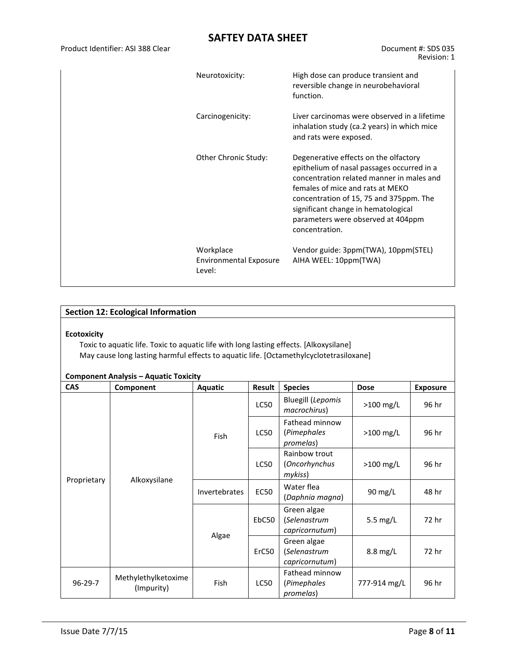Product Identifier: ASI 388 Clear Document #: SDS 035

| Neurotoxicity:                                       | High dose can produce transient and<br>reversible change in neurobehavioral<br>function.                                                                                                                                                                                                                       |
|------------------------------------------------------|----------------------------------------------------------------------------------------------------------------------------------------------------------------------------------------------------------------------------------------------------------------------------------------------------------------|
| Carcinogenicity:                                     | Liver carcinomas were observed in a lifetime<br>inhalation study (ca.2 years) in which mice<br>and rats were exposed.                                                                                                                                                                                          |
| <b>Other Chronic Study:</b>                          | Degenerative effects on the olfactory<br>epithelium of nasal passages occurred in a<br>concentration related manner in males and<br>females of mice and rats at MEKO<br>concentration of 15, 75 and 375ppm. The<br>significant change in hematological<br>parameters were observed at 404ppm<br>concentration. |
| Workplace<br><b>Environmental Exposure</b><br>Level: | Vendor guide: 3ppm(TWA), 10ppm(STEL)<br>AIHA WEEL: 10ppm(TWA)                                                                                                                                                                                                                                                  |

### **Ecotoxicity**

Toxic to aquatic life. Toxic to aquatic life with long lasting effects. [Alkoxysilane] May cause long lasting harmful effects to aquatic life. [Octamethylcyclotetrasiloxane]

| <b>CAS</b><br>Component |                                           | <b>Aquatic</b>       | Result      | <b>Species</b>                                | <b>Dose</b>  | <b>Exposure</b> |  |
|-------------------------|-------------------------------------------|----------------------|-------------|-----------------------------------------------|--------------|-----------------|--|
|                         |                                           | Fish                 | <b>LC50</b> | <b>Bluegill (Lepomis</b><br>macrochirus)      | >100 mg/L    | 96 hr           |  |
|                         |                                           |                      | <b>LC50</b> | Fathead minnow<br>(Pimephales<br>promelas)    | $>100$ mg/L  | 96 hr           |  |
| Proprietary             |                                           |                      | <b>LC50</b> | Rainbow trout<br>(Oncorhynchus<br>mykiss)     | $>100$ mg/L  | 96 hr           |  |
|                         | Alkoxysilane                              | <b>Invertebrates</b> | <b>EC50</b> | Water flea<br>(Daphnia magna)                 | 90 mg/L      | 48 hr           |  |
|                         |                                           |                      | EbC50       | Green algae<br>(Selenastrum<br>capricornutum) | 5.5 $mg/L$   | 72 hr           |  |
|                         |                                           | Algae                | ErC50       | Green algae<br>(Selenastrum<br>capricornutum) | $8.8$ mg/L   | 72 hr           |  |
| $96 - 29 - 7$           | Methylethylketoxime<br>Fish<br>(Impurity) |                      | LC50        | Fathead minnow<br>(Pimephales<br>promelas)    | 777-914 mg/L | 96 hr           |  |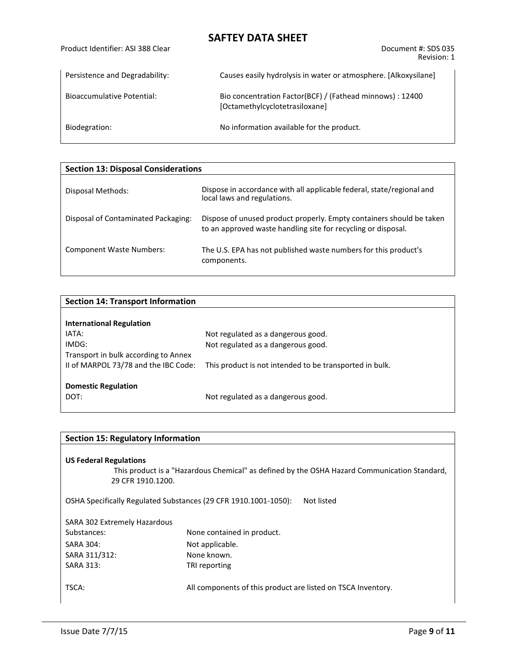| Document #: SDS 035 |
|---------------------|
| Revision: 1         |

|                                | 11 J J J J J J I .                                                                          |
|--------------------------------|---------------------------------------------------------------------------------------------|
| Persistence and Degradability: | Causes easily hydrolysis in water or atmosphere. [Alkoxysilane]                             |
| Bioaccumulative Potential:     | Bio concentration Factor(BCF) / (Fathead minnows) : 12400<br>[Octamethylcyclotetrasiloxane] |
| Biodegration:                  | No information available for the product.                                                   |

| <b>Section 13: Disposal Considerations</b> |                                                                                                                                       |  |  |  |  |  |  |
|--------------------------------------------|---------------------------------------------------------------------------------------------------------------------------------------|--|--|--|--|--|--|
| Disposal Methods:                          | Dispose in accordance with all applicable federal, state/regional and<br>local laws and regulations.                                  |  |  |  |  |  |  |
| Disposal of Contaminated Packaging:        | Dispose of unused product properly. Empty containers should be taken<br>to an approved waste handling site for recycling or disposal. |  |  |  |  |  |  |
| <b>Component Waste Numbers:</b>            | The U.S. EPA has not published waste numbers for this product's<br>components.                                                        |  |  |  |  |  |  |

| <b>Section 14: Transport Information</b> |                                                         |
|------------------------------------------|---------------------------------------------------------|
|                                          |                                                         |
| <b>International Regulation</b>          |                                                         |
| IATA:                                    | Not regulated as a dangerous good.                      |
| IMDG:                                    | Not regulated as a dangerous good.                      |
| Transport in bulk according to Annex     |                                                         |
| II of MARPOL 73/78 and the IBC Code:     | This product is not intended to be transported in bulk. |
|                                          |                                                         |
| <b>Domestic Regulation</b>               |                                                         |
| DOT:                                     | Not regulated as a dangerous good.                      |
|                                          |                                                         |

| <b>Section 15: Regulatory Information</b>          |                                                                                              |
|----------------------------------------------------|----------------------------------------------------------------------------------------------|
| <b>US Federal Regulations</b><br>29 CFR 1910.1200. | This product is a "Hazardous Chemical" as defined by the OSHA Hazard Communication Standard, |
|                                                    | OSHA Specifically Regulated Substances (29 CFR 1910.1001-1050):<br>Not listed                |
| SARA 302 Extremely Hazardous                       |                                                                                              |
| Substances:                                        | None contained in product.                                                                   |
| SARA 304:                                          | Not applicable.                                                                              |
| SARA 311/312:                                      | None known.                                                                                  |
| <b>SARA 313:</b>                                   | TRI reporting                                                                                |
| TSCA:                                              | All components of this product are listed on TSCA Inventory.                                 |

Product Identifier: ASI 388 Clear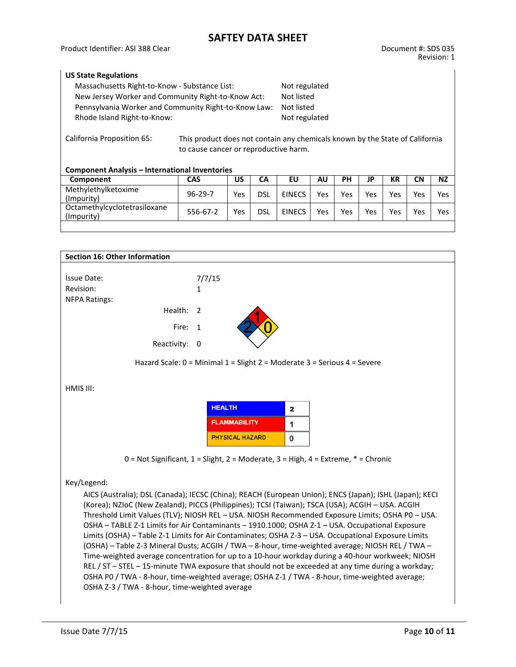#### **US State Regulations**

| Massachusetts Right-to-Know - Substance List:        | Not regulated |
|------------------------------------------------------|---------------|
| New Jersey Worker and Community Right-to-Know Act:   | Not listed    |
| Pennsylvania Worker and Community Right-to-Know Law: | Not listed    |
| Rhode Island Right-to-Know:                          | Not regulated |
|                                                      |               |

California Proposition 65: This product does not contain any chemicals known by the State of California to cause cancer or reproductive harm.

#### **Component Analysis – International Inventories**

| Component                                  | <b>CAS</b>    | US  | CА  | EU            | AU  | <b>PH</b> | JP         | ΚR  | CN  | <b>NZ</b> |
|--------------------------------------------|---------------|-----|-----|---------------|-----|-----------|------------|-----|-----|-----------|
| Methylethylketoxime<br>(Impurity)          | $96 - 29 - 7$ | Yes | dsl | <b>EINECS</b> | Yes | Yes       | Yes        | Yes | Yes | Yes       |
| Octamethylcyclotetrasiloxane<br>(Impurity) | 556-67-2      | Yes | dsl | <b>EINECS</b> | Yes | Yes       | <b>Yes</b> | Yes | Yes | Yes       |